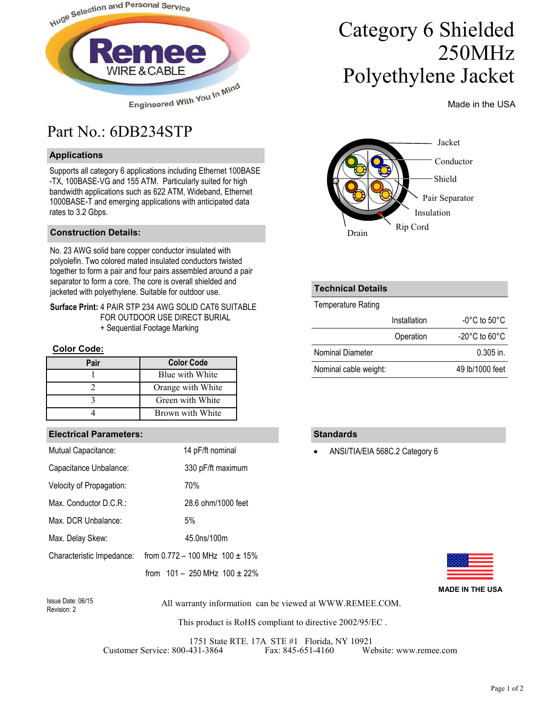

## Part No.: 6DB234STP

### **Applications**

Supports all category 6 applications including Ethernet 100BASE -TX, 100BASE-VG and 155 ATM. Particularly suited for high bandwidth applications such as 622 ATM, Wideband, Ethernet 1000BASE-T and emerging applications with anticipated data rates to 3.2 Gbps.

#### **Construction Details:**

No. 23 AWG solid bare copper conductor insulated with polyolefin. Two colored mated insulated conductors twisted together to form a pair and four pairs assembled around a pair separator to form a core. The core is overall shielded and jacketed with polyethylene. Suitable for outdoor use.

**Surface Print:** 4 PAIR STP 234 AWG SOLID CAT6 SUITABLE FOR OUTDOOR USE DIRECT BURIAL + Sequential Footage Marking

#### **Color Code:**

| Pair | <b>Color Code</b> |
|------|-------------------|
|      | Blue with White   |
|      | Orange with White |
|      | Green with White  |
|      | Brown with White  |

#### **Electrical Parameters:**

| Mutual Capacitance:       | 14 pF/ft nominal                      |
|---------------------------|---------------------------------------|
| Capacitance Unbalance:    | 330 pF/ft maximum                     |
| Velocity of Propagation:  | 70%                                   |
| Max. Conductor D.C.R.:    | 28.6 ohm/1000 feet                    |
| Max. DCR Unbalance:       | 5%                                    |
| Max. Delay Skew:          | 45.0ns/100m                           |
| Characteristic Impedance: | from $0.772 - 100$ MHz $100 \pm 15\%$ |
|                           | from $101 - 250$ MHz $100 \pm 22\%$   |

# Category 6 Shielded 250MHz Polyethylene Jacket

Made in the USA



#### **Technical Details**

Temperature Rating

|                       | Installation | $-0^{\circ}$ C to 50 $^{\circ}$ C  |
|-----------------------|--------------|------------------------------------|
|                       | Operation    | $-20^{\circ}$ C to 60 $^{\circ}$ C |
| Nominal Diameter      |              | $0.305$ in.                        |
| Nominal cable weight: |              | 49 lb/1000 feet                    |

#### **Standards**

• ANSI/TIA/EIA 568C.2 Category 6



**MADE IN THE USA**

Revision: 2

All warranty information can be viewed at WWW.REMEE.COM. Issue Date: 06/15

This product is RoHS compliant to directive 2002/95/EC .

1751 State RTE. 17A STE #1 Florida, NY 10921<br>431-3864 Fax: 845-651-4160 Website: www.remee.com Customer Service: 800-431-3864